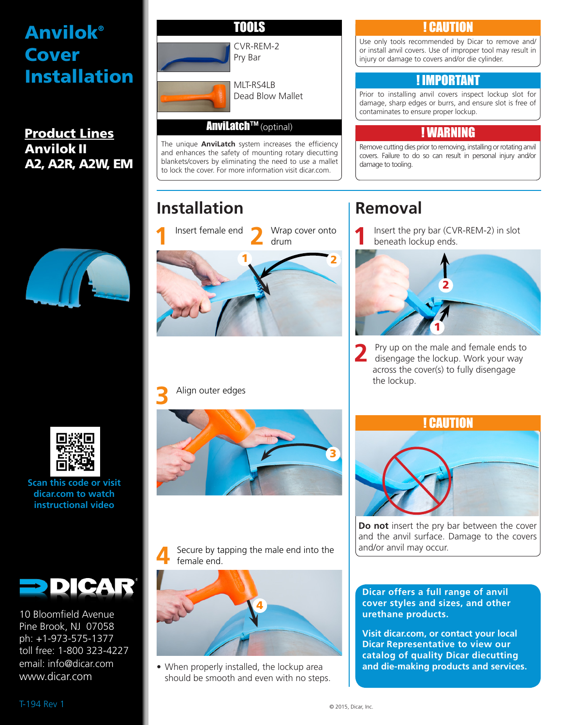## Anvilok® Cover Installation

Product Lines Anvilok II A2, A2R, A2W, EM





**Scan this code or visit dicar.com to watch instructional video**



10 Bloomfield Avenue Pine Brook, NJ 07058 ph: +1-973-575-1377 toll free: 1-800 323-4227 email: info@dicar.com www.dicar.com



TNNIS

#### **CAUTION**

Use only tools recommended by Dicar to remove and/ or install anvil covers. Use of improper tool may result in injury or damage to covers and/or die cylinder.

#### ! IMPORTANT

Prior to installing anvil covers inspect lockup slot for damage, sharp edges or burrs, and ensure slot is free of contaminates to ensure proper lockup.

#### ! WARNING

Remove cutting dies prior to removing, installing or rotating anvil covers. Failure to do so can result in personal injury and/or damage to tooling.

## **Removal**

**1** Insert the pry bar (CVR-REM-2) in slot beneath lockup ends.



**2** Pry up on the male and female ends to disengage the lockup. Work your way across the cover(s) to fully disengage the lockup.



**Do not** insert the pry bar between the cover and the anvil surface. Damage to the covers and/or anvil may occur.

**Dicar offers a full range of anvil cover styles and sizes, and other urethane products.** 

**Visit dicar.com, or contact your local Dicar Representative to view our catalog of quality Dicar diecutting and die-making products and services.**